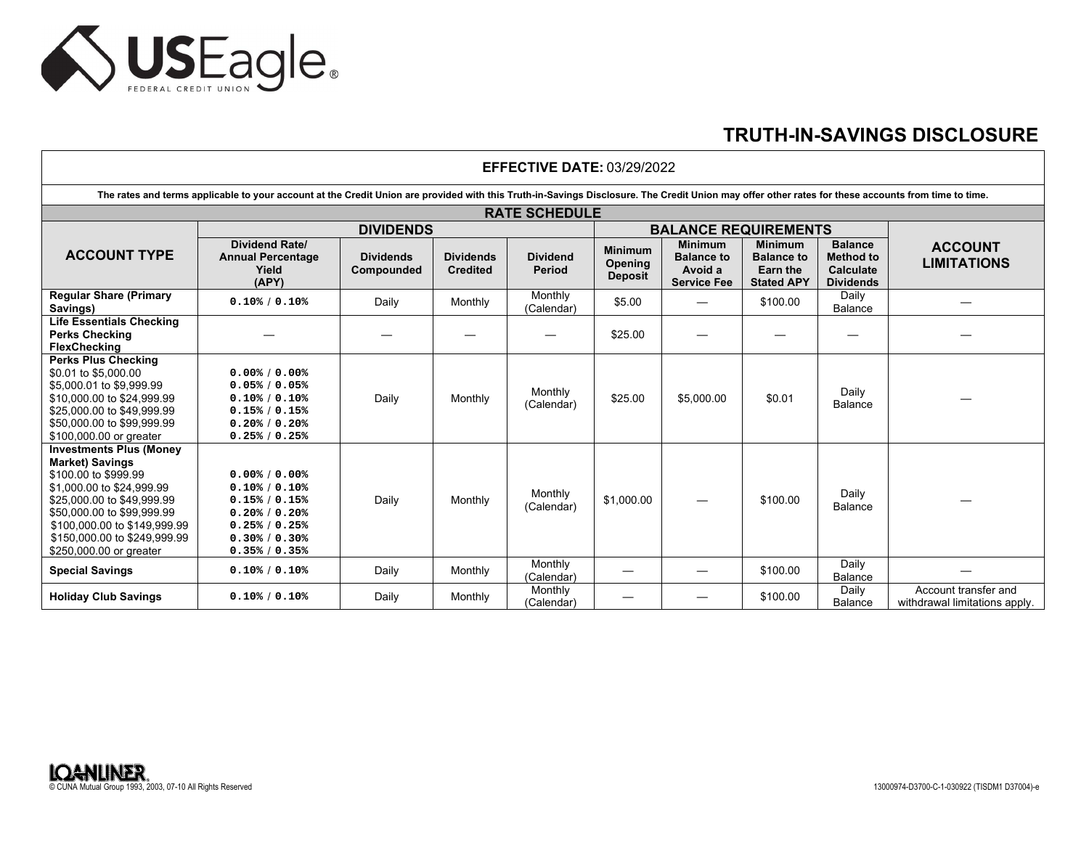

## **TRUTH-IN-SAVINGS DISCLOSURE**

| <b>EFFECTIVE DATE: 03/29/2022</b>                                                                                                                                                                                                                                    |                                                                                                                         |                                |                                     |                                  |                                                    |                                                                      |                                                                      |                                                                            |                                                       |  |
|----------------------------------------------------------------------------------------------------------------------------------------------------------------------------------------------------------------------------------------------------------------------|-------------------------------------------------------------------------------------------------------------------------|--------------------------------|-------------------------------------|----------------------------------|----------------------------------------------------|----------------------------------------------------------------------|----------------------------------------------------------------------|----------------------------------------------------------------------------|-------------------------------------------------------|--|
| The rates and terms applicable to your account at the Credit Union are provided with this Truth-in-Savings Disclosure. The Credit Union may offer other rates for these accounts from time to time.                                                                  |                                                                                                                         |                                |                                     |                                  |                                                    |                                                                      |                                                                      |                                                                            |                                                       |  |
| <b>RATE SCHEDULE</b>                                                                                                                                                                                                                                                 |                                                                                                                         |                                |                                     |                                  |                                                    |                                                                      |                                                                      |                                                                            |                                                       |  |
|                                                                                                                                                                                                                                                                      | <b>DIVIDENDS</b>                                                                                                        |                                |                                     |                                  | <b>BALANCE REQUIREMENTS</b>                        |                                                                      |                                                                      |                                                                            |                                                       |  |
| <b>ACCOUNT TYPE</b>                                                                                                                                                                                                                                                  | <b>Dividend Rate/</b><br><b>Annual Percentage</b><br>Yield<br>(APY)                                                     | <b>Dividends</b><br>Compounded | <b>Dividends</b><br><b>Credited</b> | <b>Dividend</b><br><b>Period</b> | <b>Minimum</b><br><b>Opening</b><br><b>Deposit</b> | <b>Minimum</b><br><b>Balance to</b><br>Avoid a<br><b>Service Fee</b> | <b>Minimum</b><br><b>Balance to</b><br>Earn the<br><b>Stated APY</b> | <b>Balance</b><br><b>Method to</b><br><b>Calculate</b><br><b>Dividends</b> | <b>ACCOUNT</b><br><b>LIMITATIONS</b>                  |  |
| <b>Regular Share (Primary</b><br>Savings)                                                                                                                                                                                                                            | 0.10% / 0.10%                                                                                                           | Daily                          | Monthly                             | Monthly<br>(Calendar)            | \$5.00                                             |                                                                      | \$100.00                                                             | Daily<br>Balance                                                           |                                                       |  |
| <b>Life Essentials Checking</b><br><b>Perks Checking</b><br><b>FlexChecking</b>                                                                                                                                                                                      |                                                                                                                         |                                |                                     |                                  | \$25.00                                            |                                                                      |                                                                      |                                                                            |                                                       |  |
| <b>Perks Plus Checking</b><br>\$0.01 to \$5,000.00<br>\$5,000.01 to \$9,999.99<br>\$10,000.00 to \$24,999.99<br>\$25,000.00 to \$49,999.99<br>\$50,000.00 to \$99,999.99<br>\$100,000.00 or greater                                                                  | $0.00$ % $/ 0.00$ %<br>0.05% / 0.05%<br>0.10% / 0.10%<br>0.15% / 0.15%<br>0.20% / 0.20%<br>0.25% / 0.25%                | Daily                          | Monthly                             | Monthly<br>(Calendar)            | \$25.00                                            | \$5,000.00                                                           | \$0.01                                                               | Daily<br><b>Balance</b>                                                    |                                                       |  |
| <b>Investments Plus (Money</b><br><b>Market) Savings</b><br>\$100.00 to \$999.99<br>\$1,000.00 to \$24,999.99<br>\$25,000.00 to \$49,999.99<br>\$50,000.00 to \$99,999.99<br>\$100,000.00 to \$149,999.99<br>\$150,000.00 to \$249,999.99<br>\$250,000.00 or greater | 0.00% / 0.00%<br>0.10% / 0.10%<br>0.15% / 0.15%<br>0.20% / 0.20%<br>0.25% / 0.25%<br>$0.30\% / 0.30\%$<br>0.35% / 0.35% | Daily                          | Monthly                             | Monthly<br>(Calendar)            | \$1,000.00                                         |                                                                      | \$100.00                                                             | Daily<br><b>Balance</b>                                                    |                                                       |  |
| <b>Special Savings</b>                                                                                                                                                                                                                                               | 0.10% / 0.10%                                                                                                           | Daily                          | Monthly                             | Monthly<br>(Calendar)            |                                                    |                                                                      | \$100.00                                                             | Daily<br>Balance                                                           |                                                       |  |
| <b>Holiday Club Savings</b>                                                                                                                                                                                                                                          | $0.10\%$ / $0.10\%$                                                                                                     | Daily                          | Monthly                             | Monthly<br>(Calendar)            |                                                    |                                                                      | \$100.00                                                             | Daily<br><b>Balance</b>                                                    | Account transfer and<br>withdrawal limitations apply. |  |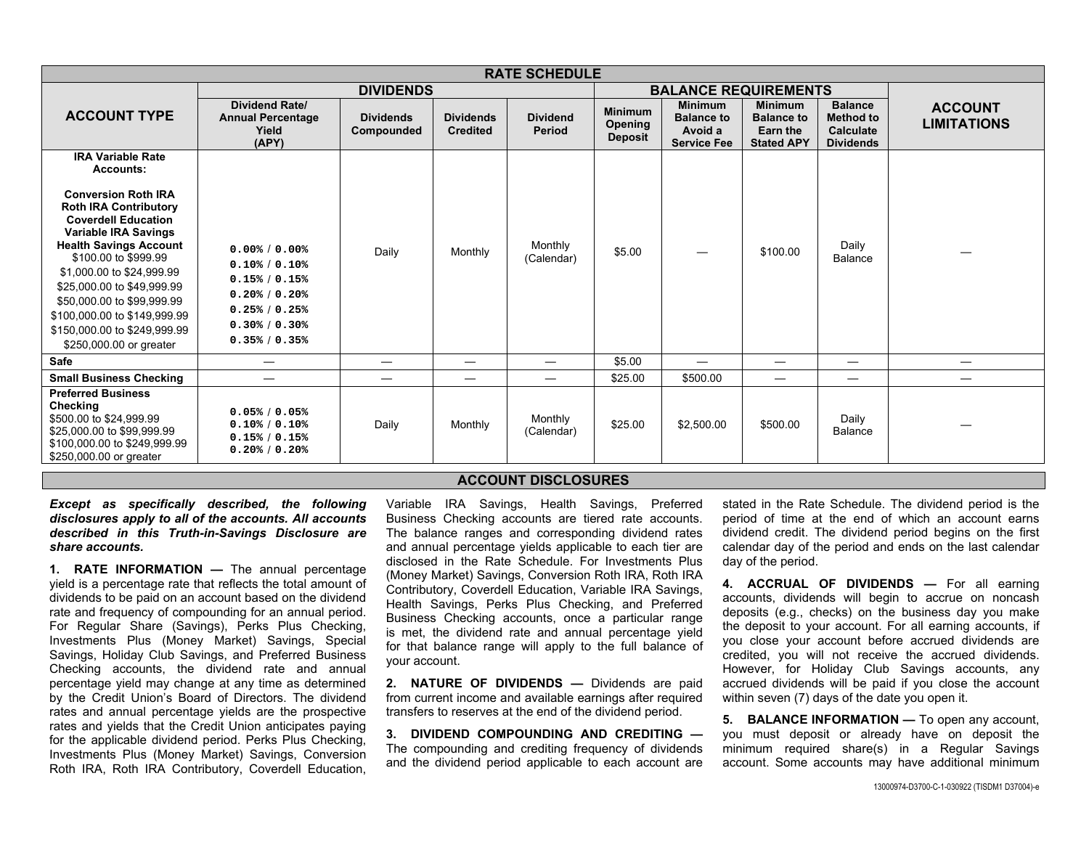| <b>RATE SCHEDULE</b>                                                                                                                                                                                                                                                                                                                                                 |                                                                                                                                 |                                |                                     |                                  |                                             |                                                                      |                                                                      |                                                                     |                                      |
|----------------------------------------------------------------------------------------------------------------------------------------------------------------------------------------------------------------------------------------------------------------------------------------------------------------------------------------------------------------------|---------------------------------------------------------------------------------------------------------------------------------|--------------------------------|-------------------------------------|----------------------------------|---------------------------------------------|----------------------------------------------------------------------|----------------------------------------------------------------------|---------------------------------------------------------------------|--------------------------------------|
|                                                                                                                                                                                                                                                                                                                                                                      | <b>DIVIDENDS</b>                                                                                                                |                                |                                     |                                  | <b>BALANCE REQUIREMENTS</b>                 |                                                                      |                                                                      |                                                                     |                                      |
| <b>ACCOUNT TYPE</b>                                                                                                                                                                                                                                                                                                                                                  | <b>Dividend Rate/</b><br><b>Annual Percentage</b><br>Yield<br>(APY)                                                             | <b>Dividends</b><br>Compounded | <b>Dividends</b><br><b>Credited</b> | <b>Dividend</b><br><b>Period</b> | <b>Minimum</b><br>Opening<br><b>Deposit</b> | <b>Minimum</b><br><b>Balance to</b><br>Avoid a<br><b>Service Fee</b> | <b>Minimum</b><br><b>Balance to</b><br>Earn the<br><b>Stated APY</b> | <b>Balance</b><br><b>Method to</b><br>Calculate<br><b>Dividends</b> | <b>ACCOUNT</b><br><b>LIMITATIONS</b> |
| <b>IRA Variable Rate</b><br><b>Accounts:</b>                                                                                                                                                                                                                                                                                                                         |                                                                                                                                 |                                |                                     |                                  |                                             |                                                                      |                                                                      |                                                                     |                                      |
| <b>Conversion Roth IRA</b><br><b>Roth IRA Contributory</b><br><b>Coverdell Education</b><br><b>Variable IRA Savings</b><br><b>Health Savings Account</b><br>\$100.00 to \$999.99<br>\$1,000.00 to \$24,999.99<br>\$25,000.00 to \$49,999.99<br>\$50,000.00 to \$99,999.99<br>\$100,000.00 to \$149,999.99<br>\$150,000.00 to \$249,999.99<br>\$250,000.00 or greater | 0.00% / 0.00%<br>$0.10\%$ / $0.10\%$<br>0.15% / 0.15%<br>0.20% / 0.20%<br>0.25% / 0.25%<br>$0.30\%$ / $0.30\%$<br>0.35% / 0.35% | Daily                          | Monthly                             | Monthly<br>(Calendar)            | \$5.00                                      |                                                                      | \$100.00                                                             | Daily<br>Balance                                                    |                                      |
| Safe                                                                                                                                                                                                                                                                                                                                                                 |                                                                                                                                 |                                |                                     |                                  | \$5.00                                      |                                                                      |                                                                      |                                                                     |                                      |
| <b>Small Business Checking</b>                                                                                                                                                                                                                                                                                                                                       |                                                                                                                                 | —                              |                                     |                                  | \$25.00                                     | \$500.00                                                             | $\overline{\phantom{0}}$                                             |                                                                     |                                      |
| <b>Preferred Business</b><br>Checking<br>\$500.00 to \$24,999.99<br>\$25,000.00 to \$99,999.99<br>\$100,000.00 to \$249,999.99<br>\$250,000.00 or greater                                                                                                                                                                                                            | 0.05% / 0.05%<br>0.10% / 0.10%<br>0.15% / 0.15%<br>0.20% / 0.20%                                                                | Daily                          | Monthly                             | Monthly<br>(Calendar)            | \$25.00                                     | \$2,500.00                                                           | \$500.00                                                             | Daily<br>Balance                                                    |                                      |

## **ACCOUNT DISCLOSURES**

*Except as specifically described, the following disclosures apply to all of the accounts. All accounts described in this Truth-in-Savings Disclosure are share accounts.* 

**1. RATE INFORMATION —** The annual percentage yield is a percentage rate that reflects the total amount of dividends to be paid on an account based on the dividend rate and frequency of compounding for an annual period. For Regular Share (Savings), Perks Plus Checking, Investments Plus (Money Market) Savings, Special Savings, Holiday Club Savings, and Preferred Business Checking accounts, the dividend rate and annual percentage yield may change at any time as determined by the Credit Union's Board of Directors. The dividend rates and annual percentage yields are the prospective rates and yields that the Credit Union anticipates paying for the applicable dividend period. Perks Plus Checking, Investments Plus (Money Market) Savings, Conversion Roth IRA, Roth IRA Contributory, Coverdell Education,

Variable IRA Savings, Health Savings, Preferred Business Checking accounts are tiered rate accounts. The balance ranges and corresponding dividend rates and annual percentage yields applicable to each tier are disclosed in the Rate Schedule. For Investments Plus (Money Market) Savings, Conversion Roth IRA, Roth IRA Contributory, Coverdell Education, Variable IRA Savings, Health Savings, Perks Plus Checking, and Preferred Business Checking accounts, once a particular range is met, the dividend rate and annual percentage yield for that balance range will apply to the full balance of your account.

**2. NATURE OF DIVIDENDS —** Dividends are paid from current income and available earnings after required transfers to reserves at the end of the dividend period.

**3. DIVIDEND COMPOUNDING AND CREDITING —**The compounding and crediting frequency of dividends and the dividend period applicable to each account are stated in the Rate Schedule. The dividend period is the period of time at the end of which an account earns dividend credit. The dividend period begins on the first calendar day of the period and ends on the last calendar day of the period.

**4. ACCRUAL OF DIVIDENDS —** For all earning accounts, dividends will begin to accrue on noncash deposits (e.g., checks) on the business day you make the deposit to your account. For all earning accounts, if you close your account before accrued dividends are credited, you will not receive the accrued dividends. However, for Holiday Club Savings accounts, any accrued dividends will be paid if you close the account within seven (7) days of the date you open it.

**5. BALANCE INFORMATION —** To open any account, you must deposit or already have on deposit the minimum required share(s) in a Regular Savings account. Some accounts may have additional minimum